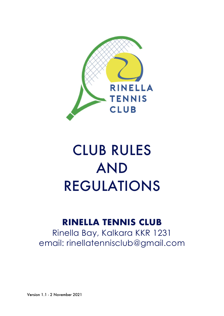

# CLUB RULES AND REGULATIONS

# **RINELLA TENNIS CLUB**

Rinella Bay, Kalkara KKR 1231 email: rinellatennisclub@gmail.com

Version 1.1 - 2 November 2021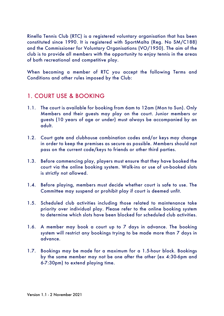Rinella Tennis Club (RTC) is a registered voluntary organisation that has been constituted since 1990. It is registered with SportMalta (Reg. No SM/C188) and the Commissioner for Voluntary Organisations (VO/1950). The aim of the club is to provide all members with the opportunity to enjoy tennis in the areas of both recreational and competitive play.

When becoming a member of RTC you accept the following Terms and Conditions and other rules imposed by the Club:

### 1. COURT USE & BOOKING

- 1.1. The court is available for booking from 6am to 12am (Mon to Sun). Only Members and their guests may play on the court. Junior members or guests (10 years of age or under) must always be accompanied by an adult.
- 1.2. Court gate and clubhouse combination codes and/or keys may change in order to keep the premises as secure as possible. Members should not pass on the current code/keys to friends or other third parties.
- 1.3. Before commencing play, players must ensure that they have booked the court via the online booking system. Walk-ins or use of un-booked slots is strictly not allowed.
- 1.4. Before playing, members must decide whether court is safe to use. The Committee may suspend or prohibit play if court is deemed unfit.
- 1.5. Scheduled club activities including those related to maintenance take priority over individual play. Please refer to the online booking system to determine which slots have been blocked for scheduled club activities.
- 1.6. A member may book a court up to 7 days in advance. The booking system will restrict any bookings trying to be made more than 7 days in advance.
- 1.7. Bookings may be made for a maximum for a 1.5-hour block. Bookings by the same member may not be one after the other (ex 4:30-6pm and 6-7:30pm) to extend playing time.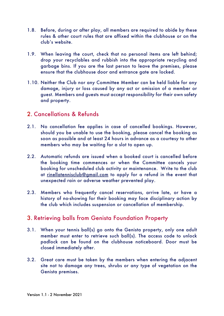- 1.8. Before, during or after play, all members are required to abide by these rules & other court rules that are affixed within the clubhouse or on the club's website.
- 1.9. When leaving the court, check that no personal items are left behind; drop your recyclables and rubbish into the appropriate recycling and garbage bins. If you are the last person to leave the premises, please ensure that the clubhouse door and entrance gate are locked.
- 1.10. Neither the Club nor any Committee Member can be held liable for any damage, injury or loss caused by any act or omission of a member or guest. Members and guests must accept responsibility for their own safety and property.

#### 2. Cancellations & Refunds

- 2.1. No cancellation fee applies in case of cancelled bookings. However, should you be unable to use the booking, please cancel the booking as soon as possible and at least 24 hours in advance as a courtesy to other members who may be waiting for a slot to open up.
- 2.2. Automatic refunds are issued when a booked court is cancelled before the booking time commences or when the Committee cancels your booking for unscheduled club activity or maintenance. Write to the club at rinellatennisclub@gmail.com to apply for a refund in the event that unexpected rain or adverse weather prevented play.
- 2.3. Members who frequently cancel reservations, arrive late, or have a history of no-showing for their booking may face disciplinary action by the club which includes suspension or cancellation of membership.

#### 3. Retrieving balls from Genista Foundation Property

- 3.1. When your tennis ball(s) go onto the Genista property, only one adult member must enter to retrieve such ball(s). The access code to unlock padlock can be found on the clubhouse noticeboard. Door must be closed immediately after.
- 3.2. Great care must be taken by the members when entering the adjacent site not to damage any trees, shrubs or any type of vegetation on the Genista premises.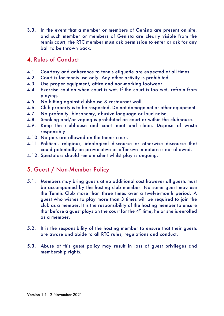3.3. In the event that a member or members of Genista are present on site, and such member or members of Genista are clearly visible from the tennis court, the RTC member must ask permission to enter or ask for any ball to be thrown back.

#### 4. Rules of Conduct

- 4.1. Courtesy and adherence to tennis etiquette are expected at all times.
- 4.2. Court is for tennis use only. Any other activity is prohibited.
- 4.3. Use proper equipment, attire and non-marking footwear.
- 4.4. Exercise caution when court is wet. If the court is too wet, refrain from playing.
- 4.5. No hitting against clubhouse & restaurant wall.
- 4.6. Club property is to be respected. Do not damage net or other equipment.
- 4.7. No profanity, blasphemy, abusive language or loud noise.
- 4.8. Smoking and/or vaping is prohibited on court or within the clubhouse.
- 4.9. Keep the clubhouse and court neat and clean. Dispose of waste responsibly.
- 4.10. No pets are allowed on the tennis court.
- 4.11. Political, religious, ideological discourse or otherwise discourse that could potentially be provocative or offensive in nature is not allowed.
- 4.12. Spectators should remain silent whilst play is ongoing.

### 5. Guest / Non-Member Policy

- 5.1. Members may bring guests at no additional cost however all guests must be accompanied by the hosting club member. No same guest may use the Tennis Club more than three times over a twelve-month period. A guest who wishes to play more than 3 times will be required to join the club as a member. It is the responsibility of the hosting member to ensure that before a quest plays on the court for the  $4<sup>th</sup>$  time, he or she is enrolled as a member.
- 5.2. It is the responsibility of the hosting member to ensure that their guests are aware and abide to all RTC rules, regulations and conduct.
- 5.3. Abuse of this guest policy may result in loss of guest privileges and membership rights.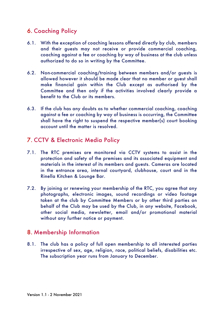# 6. Coaching Policy

- 6.1. With the exception of coaching lessons offered directly by club, members and their guests may not receive or provide commercial coaching, coaching against a fee or coaching by way of business at the club unless authorized to do so in writing by the Committee.
- 6.2. Non-commercial coaching/training between members and/or guests is allowed however it should be made clear that no member or guest shall make financial gain within the Club except as authorised by the Committee and then only if the activities involved clearly provide a benefit to the Club or its members.
- 6.3. If the club has any doubts as to whether commercial coaching, coaching against a fee or coaching by way of business is occurring, the Committee shall have the right to suspend the respective member(s) court booking account until the matter is resolved.

# 7. CCTV & Electronic Media Policy

- 7.1. The RTC premises are monitored via CCTV systems to assist in the protection and safety of the premises and its associated equipment and materials in the interest of its members and guests. Cameras are located in the entrance area, internal courtyard, clubhouse, court and in the Rinella Kitchen & Lounge Bar.
- 7.2. By joining or renewing your membership of the RTC, you agree that any photographs, electronic images, sound recordings or video footage taken at the club by Committee Members or by other third parties on behalf of the Club may be used by the Club, in any website, Facebook, other social media, newsletter, email and/or promotional material without any further notice or payment.

#### 8. Membership Information

8.1. The club has a policy of full open membership to all interested parties irrespective of sex, age, religion, race, political beliefs, disabilities etc. The subscription year runs from January to December.